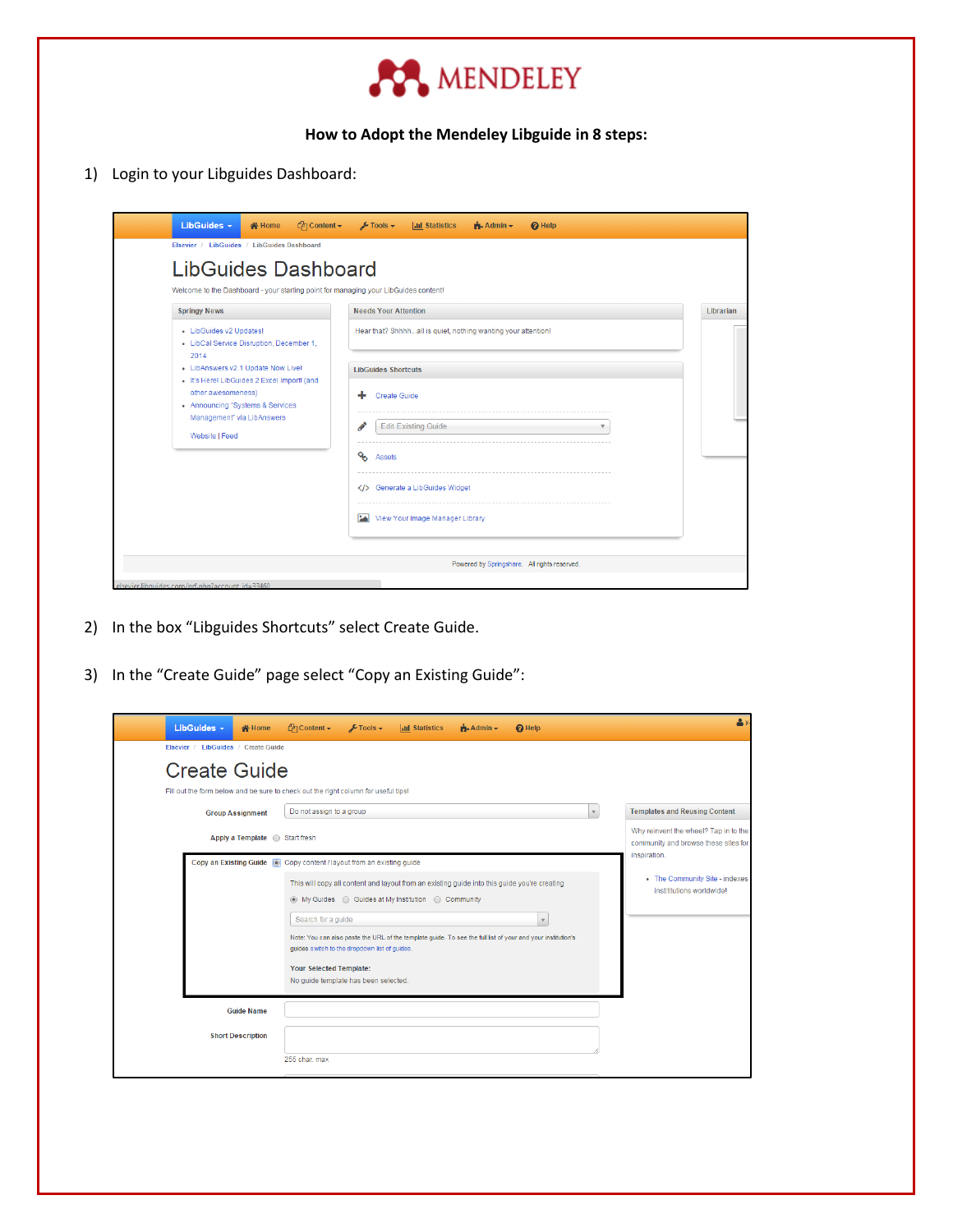

## **How to Adopt the Mendeley Libguide in 8 steps:**

1) Login to your Libguides Dashboard:

|                                                                                                                                                                                             | Welcome to the Dashboard - your starting point for managing your LibGuides content!                                | Librarian |  |  |  |
|---------------------------------------------------------------------------------------------------------------------------------------------------------------------------------------------|--------------------------------------------------------------------------------------------------------------------|-----------|--|--|--|
| <b>Springy News</b><br>• LibGuides v2 Updates!<br>• LibCal Service Disruption, December 1,<br>2014                                                                                          | <b>Needs Your Attention</b><br>Hear that? Shhhhall is quiet, nothing wanting your attention!                       |           |  |  |  |
| - LibAnswers v2.1 Update Now Live!<br>· It's Here! LibGuides 2 Excel Import! (and<br>other awesomeness)<br>• Announcing "Systems & Services<br>Management" via LibAnswers<br>Website   Feed | <b>LibGuides Shortcuts</b><br>Create Guide<br><b>Edit Existing Guide</b><br>$\overline{\mathbf{v}}$<br>ዔ<br>Assets |           |  |  |  |
|                                                                                                                                                                                             |                                                                                                                    |           |  |  |  |
|                                                                                                                                                                                             | Generate a LibGuides Widget<br><b>PA</b><br>View Your Image Manager Library                                        |           |  |  |  |

- 2) In the box "Libguides Shortcuts" select Create Guide.
- 3) In the "Create Guide" page select "Copy an Existing Guide":

| LibGuides $\sim$<br><b>N</b> Home                                                                                                                                           | $\mathcal{O}$ Content $\star$                                                                                                          | $\sqrt{\phantom{a}}$ Tools $\rightarrow$ | <b>Inl Statistics</b>                                                                                                                              | $A$ dmin $\sim$ | <b>Q</b> Help                                                                                                                          | $\Delta$                                                                                                            |
|-----------------------------------------------------------------------------------------------------------------------------------------------------------------------------|----------------------------------------------------------------------------------------------------------------------------------------|------------------------------------------|----------------------------------------------------------------------------------------------------------------------------------------------------|-----------------|----------------------------------------------------------------------------------------------------------------------------------------|---------------------------------------------------------------------------------------------------------------------|
| Elsevier / LibGuides / Create Guide<br><b>Create Guide</b><br>Fill out the form below and be sure to check out the right column for useful tips!<br><b>Group Assignment</b> | Do not assign to a group                                                                                                               |                                          |                                                                                                                                                    |                 |                                                                                                                                        | <b>Templates and Reusing Content</b><br>$\mathbf v$<br>Why reinvent the wheel? Tap in to the                        |
| Copy an Existing Guide @ Copy content / layout from an existing guide                                                                                                       | Search for a guide<br>quides switch to the dropdown list of quides.<br>Your Selected Template:<br>No quide template has been selected. |                                          | This will copy all content and layout from an existing guide into this guide you're creating<br>◉ My Guides ⓒ Guides at My Institution ⓒ Community |                 | $\mathbf{\overline{v}}$<br>Note: You can also paste the URL of the template guide. To see the full list of your and your institution's | community and browse these sites for<br>inspiration.<br>• The Community Site - indexes<br>instititutions worldwidel |
| <b>Guide Name</b><br><b>Short Description</b>                                                                                                                               | 255 char. max                                                                                                                          |                                          |                                                                                                                                                    |                 |                                                                                                                                        |                                                                                                                     |